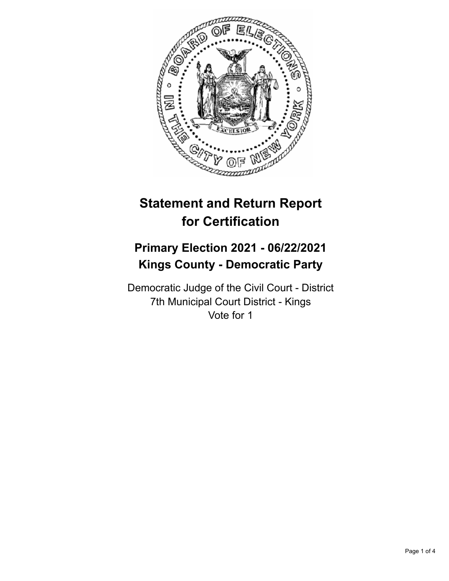

# **Statement and Return Report for Certification**

## **Primary Election 2021 - 06/22/2021 Kings County - Democratic Party**

Democratic Judge of the Civil Court - District 7th Municipal Court District - Kings Vote for 1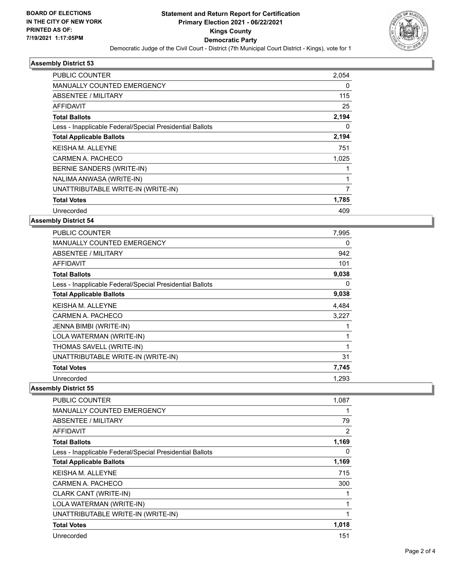

#### **Assembly District 53**

| 2,054 |
|-------|
| 0     |
| 115   |
| 25    |
| 2,194 |
| 0     |
| 2,194 |
| 751   |
| 1,025 |
|       |
|       |
| 7     |
| 1,785 |
| 409   |
|       |

#### **Assembly District 54**

| <b>PUBLIC COUNTER</b>                                    | 7,995 |
|----------------------------------------------------------|-------|
| <b>MANUALLY COUNTED EMERGENCY</b>                        | 0     |
| <b>ABSENTEE / MILITARY</b>                               | 942   |
| <b>AFFIDAVIT</b>                                         | 101   |
| <b>Total Ballots</b>                                     | 9,038 |
| Less - Inapplicable Federal/Special Presidential Ballots | 0     |
| <b>Total Applicable Ballots</b>                          | 9,038 |
| <b>KEISHA M. ALLEYNE</b>                                 | 4,484 |
| CARMEN A. PACHECO                                        | 3,227 |
| JENNA BIMBI (WRITE-IN)                                   |       |
| LOLA WATERMAN (WRITE-IN)                                 | 1     |
| THOMAS SAVELL (WRITE-IN)                                 |       |
| UNATTRIBUTABLE WRITE-IN (WRITE-IN)                       | 31    |
| <b>Total Votes</b>                                       | 7,745 |
| Unrecorded                                               | 1,293 |

**Assembly District 55**

| PUBLIC COUNTER                                           | 1,087          |
|----------------------------------------------------------|----------------|
| <b>MANUALLY COUNTED EMERGENCY</b>                        |                |
| ABSENTEE / MILITARY                                      | 79             |
| AFFIDAVIT                                                | $\overline{2}$ |
| <b>Total Ballots</b>                                     | 1,169          |
| Less - Inapplicable Federal/Special Presidential Ballots | 0              |
| <b>Total Applicable Ballots</b>                          | 1,169          |
| <b>KEISHAM, ALLEYNE</b>                                  | 715            |
| CARMEN A. PACHECO                                        | 300            |
| CLARK CANT (WRITE-IN)                                    |                |
| LOLA WATERMAN (WRITE-IN)                                 | 1              |
| UNATTRIBUTABLE WRITE-IN (WRITE-IN)                       |                |
| <b>Total Votes</b>                                       | 1,018          |
| Unrecorded                                               | 151            |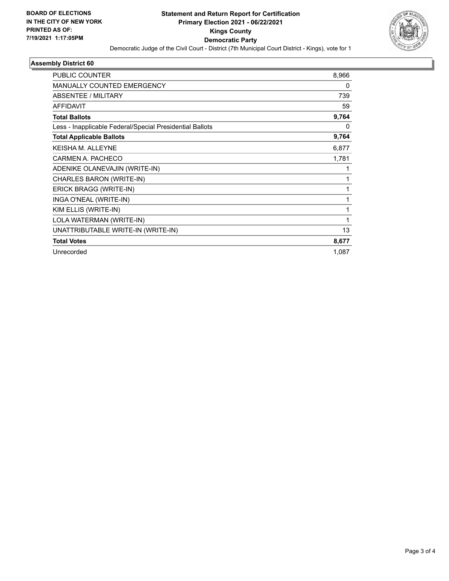

#### **Assembly District 60**

| PUBLIC COUNTER                                           | 8,966        |
|----------------------------------------------------------|--------------|
| MANUALLY COUNTED EMERGENCY                               | 0            |
| ABSENTEE / MILITARY                                      | 739          |
| <b>AFFIDAVIT</b>                                         | 59           |
| <b>Total Ballots</b>                                     | 9,764        |
| Less - Inapplicable Federal/Special Presidential Ballots | 0            |
| <b>Total Applicable Ballots</b>                          | 9,764        |
| <b>KEISHAM. ALLEYNE</b>                                  | 6,877        |
| CARMEN A. PACHECO                                        | 1,781        |
| ADENIKE OLANEVAJIN (WRITE-IN)                            | 1            |
| CHARLES BARON (WRITE-IN)                                 | 1            |
| ERICK BRAGG (WRITE-IN)                                   | 1            |
| INGA O'NEAL (WRITE-IN)                                   | 1            |
| KIM ELLIS (WRITE-IN)                                     | 1            |
| LOLA WATERMAN (WRITE-IN)                                 | $\mathbf{1}$ |
| UNATTRIBUTABLE WRITE-IN (WRITE-IN)                       | 13           |
| <b>Total Votes</b>                                       | 8,677        |
| Unrecorded                                               | 1,087        |